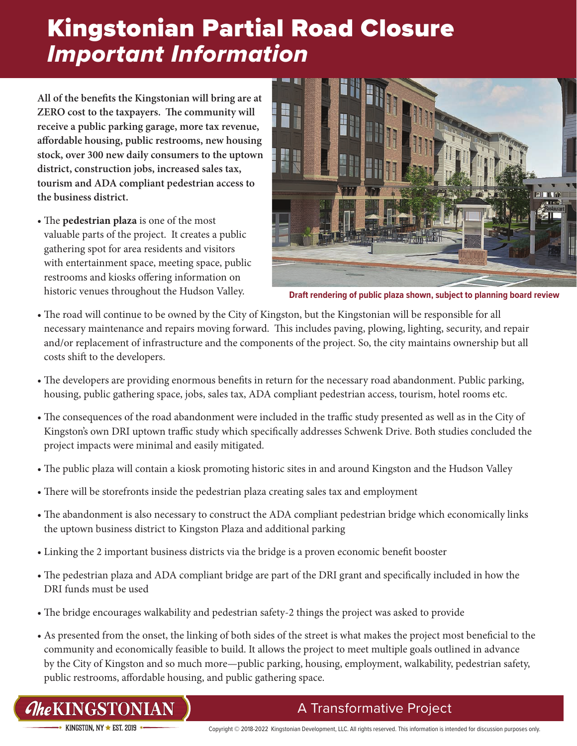# Kingstonian Partial Road Closure *Important Information*

**All of the benefits the Kingstonian will bring are at ZERO cost to the taxpayers. The community will receive a public parking garage, more tax revenue, affordable housing, public restrooms, new housing stock, over 300 new daily consumers to the uptown district, construction jobs, increased sales tax, tourism and ADA compliant pedestrian access to the business district.**

• The **pedestrian plaza** is one of the most valuable parts of the project. It creates a public gathering spot for area residents and visitors with entertainment space, meeting space, public restrooms and kiosks offering information on historic venues throughout the Hudson Valley.



**Draft rendering of public plaza shown, subject to planning board review**

- The road will continue to be owned by the City of Kingston, but the Kingstonian will be responsible for all necessary maintenance and repairs moving forward. This includes paving, plowing, lighting, security, and repair and/or replacement of infrastructure and the components of the project. So, the city maintains ownership but all costs shift to the developers.
- The developers are providing enormous benefits in return for the necessary road abandonment. Public parking, housing, public gathering space, jobs, sales tax, ADA compliant pedestrian access, tourism, hotel rooms etc.
- The consequences of the road abandonment were included in the traffic study presented as well as in the City of Kingston's own DRI uptown traffic study which specifically addresses Schwenk Drive. Both studies concluded the project impacts were minimal and easily mitigated.
- The public plaza will contain a kiosk promoting historic sites in and around Kingston and the Hudson Valley
- There will be storefronts inside the pedestrian plaza creating sales tax and employment
- The abandonment is also necessary to construct the ADA compliant pedestrian bridge which economically links the uptown business district to Kingston Plaza and additional parking
- Linking the 2 important business districts via the bridge is a proven economic benefit booster
- The pedestrian plaza and ADA compliant bridge are part of the DRI grant and specifically included in how the DRI funds must be used
- The bridge encourages walkability and pedestrian safety-2 things the project was asked to provide
- As presented from the onset, the linking of both sides of the street is what makes the project most beneficial to the community and economically feasible to build. It allows the project to meet multiple goals outlined in advance by the City of Kingston and so much more—public parking, housing, employment, walkability, pedestrian safety, public restrooms, affordable housing, and public gathering space.

*CheKINGSTONIAN* 

### A Transformative Project

 $\star$  kingston by  $\star$  est 2019  $\star$ 

Copyright © 2018-2022 Kingstonian Development, LLC. All rights reserved. This information is intended for discussion purposes only.